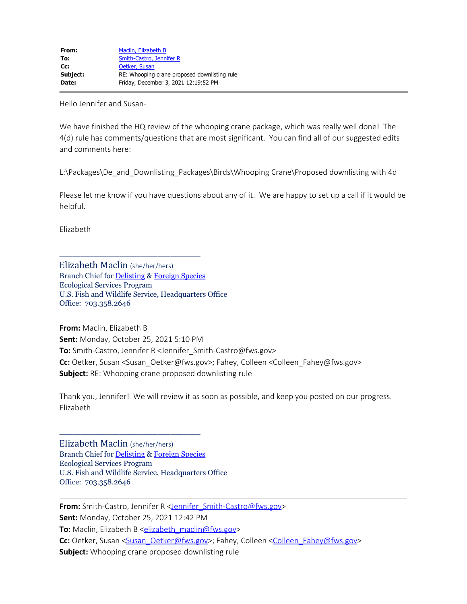Hello Jennifer and Susan-

We have finished the HQ review of the whooping crane package, which was really well done! The 4(d) rule has comments/questions that are most significant. You can find all of our suggested edits and comments here:

L:\Packages\De\_and\_Downlisting\_Packages\Birds\Whooping Crane\Proposed downlisting with 4d

Please let me know if you have questions about any of it. We are happy to set up a call if it would be helpful.

Elizabeth

Elizabeth Maclin (she/her/hers) Branch Chief for [Delisting](https://www.fws.gov/endangered/what-we-do/downlisting-delisting-workplan.html) & [Foreign Species](https://www.fws.gov/endangered/what-we-do/foreign-species.html) Ecological Services Program U.S. Fish and Wildlife Service, Headquarters Office Office: 703.358.2646

\_\_\_\_\_\_\_\_\_\_\_\_\_\_\_\_\_\_\_\_\_\_\_\_\_\_\_\_\_\_\_\_\_

**From:** Maclin, Elizabeth B **Sent:** Monday, October 25, 2021 5:10 PM **To:** Smith-Castro, Jennifer R <Jennifer\_Smith-Castro@fws.gov> **Cc:** Oetker, Susan <Susan\_Oetker@fws.gov>; Fahey, Colleen <Colleen\_Fahey@fws.gov> **Subject:** RE: Whooping crane proposed downlisting rule

Thank you, Jennifer! We will review it as soon as possible, and keep you posted on our progress. Elizabeth

Elizabeth Maclin (she/her/hers) Branch Chief for [Delisting](https://www.fws.gov/endangered/what-we-do/downlisting-delisting-workplan.html) & [Foreign Species](https://www.fws.gov/endangered/what-we-do/foreign-species.html) Ecological Services Program U.S. Fish and Wildlife Service, Headquarters Office Office: 703.358.2646

\_\_\_\_\_\_\_\_\_\_\_\_\_\_\_\_\_\_\_\_\_\_\_\_\_\_\_\_\_\_\_\_\_

**From:** Smith-Castro, Jennifer R <**Jennifer\_Smith-Castro@fws.gov> Sent:** Monday, October 25, 2021 12:42 PM **To:** Maclin, Elizabeth B [<elizabeth\\_maclin@fws.gov](mailto:elizabeth_maclin@fws.gov)> Cc: Oetker, Susan [<Susan\\_Oetker@fws.gov](mailto:Susan_Oetker@fws.gov)>; Fahey, Colleen <[Colleen\\_Fahey@fws.gov](mailto:Colleen_Fahey@fws.gov)> **Subject:** Whooping crane proposed downlisting rule